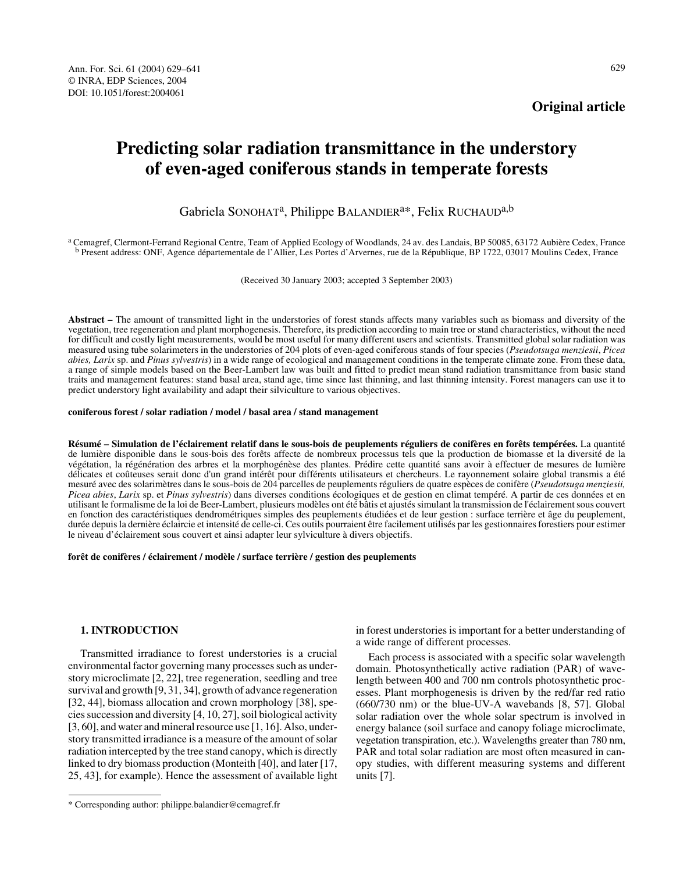# **Predicting solar radiation transmittance in the understory of even-aged coniferous stands in temperate forests**

Gabriela SONOHAT<sup>a</sup>, Philippe BALANDIER<sup>a\*</sup>, Felix RUCHAUD<sup>a,b</sup>

a Cemagref, Clermont-Ferrand Regional Centre, Team of Applied Ecology of Woodlands, 24 av. des Landais, BP 50085, 63172 Aubière Cedex, France b Present address: ONF, Agence départementale de l'Allier, Les Portes d'Arvernes, rue de la République, BP 1722, 03017 Moulins Cedex, France

(Received 30 January 2003; accepted 3 September 2003)

**Abstract –** The amount of transmitted light in the understories of forest stands affects many variables such as biomass and diversity of the vegetation, tree regeneration and plant morphogenesis. Therefore, its prediction according to main tree or stand characteristics, without the need for difficult and costly light measurements, would be most useful for many different users and scientists. Transmitted global solar radiation was measured using tube solarimeters in the understories of 204 plots of even-aged coniferous stands of four species (*Pseudotsuga menziesii*, *Picea abies, Larix* sp. and *Pinus sylvestris*) in a wide range of ecological and management conditions in the temperate climate zone. From these data, a range of simple models based on the Beer-Lambert law was built and fitted to predict mean stand radiation transmittance from basic stand traits and management features: stand basal area, stand age, time since last thinning, and last thinning intensity. Forest managers can use it to predict understory light availability and adapt their silviculture to various objectives.

#### **coniferous forest / solar radiation / model / basal area / stand management**

**Résumé – Simulation de l'éclairement relatif dans le sous-bois de peuplements réguliers de conifères en forêts tempérées.** La quantité de lumière disponible dans le sous-bois des forêts affecte de nombreux processus tels que la production de biomasse et la diversité de la végétation, la régénération des arbres et la morphogénèse des plantes. Prédire cette quantité sans avoir à effectuer de mesures de lumière délicates et coûteuses serait donc d'un grand intérêt pour différents utilisateurs et chercheurs. Le rayonnement solaire global transmis a été mesuré avec des solarimètres dans le sous-bois de 204 parcelles de peuplements réguliers de quatre espèces de conifère (*Pseudotsuga menziesii, Picea abies*, *Larix* sp. et *Pinus sylvestris*) dans diverses conditions écologiques et de gestion en climat tempéré. A partir de ces données et en utilisant le formalisme de la loi de Beer-Lambert, plusieurs modèles ont été bâtis et ajustés simulant la transmission de l'éclairement sous couvert en fonction des caractéristiques dendrométriques simples des peuplements étudiées et de leur gestion : surface terrière et âge du peuplement, durée depuis la dernière éclaircie et intensité de celle-ci. Ces outils pourraient être facilement utilisés par les gestionnaires forestiers pour estimer le niveau d'éclairement sous couvert et ainsi adapter leur sylviculture à divers objectifs.

**forêt de conifères / éclairement / modèle / surface terrière / gestion des peuplements**

# **1. INTRODUCTION**

Transmitted irradiance to forest understories is a crucial environmental factor governing many processes such as understory microclimate [2, 22], tree regeneration, seedling and tree survival and growth [9, 31, 34], growth of advance regeneration [32, 44], biomass allocation and crown morphology [38], species succession and diversity [4, 10, 27], soil biological activity [3, 60], and water and mineral resource use [1, 16]. Also, understory transmitted irradiance is a measure of the amount of solar radiation intercepted by the tree stand canopy, which is directly linked to dry biomass production (Monteith [40], and later [17, 25, 43], for example). Hence the assessment of available light

in forest understories is important for a better understanding of a wide range of different processes.

Each process is associated with a specific solar wavelength domain. Photosynthetically active radiation (PAR) of wavelength between 400 and 700 nm controls photosynthetic processes. Plant morphogenesis is driven by the red/far red ratio (660/730 nm) or the blue-UV-A wavebands [8, 57]. Global solar radiation over the whole solar spectrum is involved in energy balance (soil surface and canopy foliage microclimate, vegetation transpiration, etc.). Wavelengths greater than 780 nm, PAR and total solar radiation are most often measured in canopy studies, with different measuring systems and different units [7].

<sup>\*</sup> Corresponding author: philippe.balandier@cemagref.fr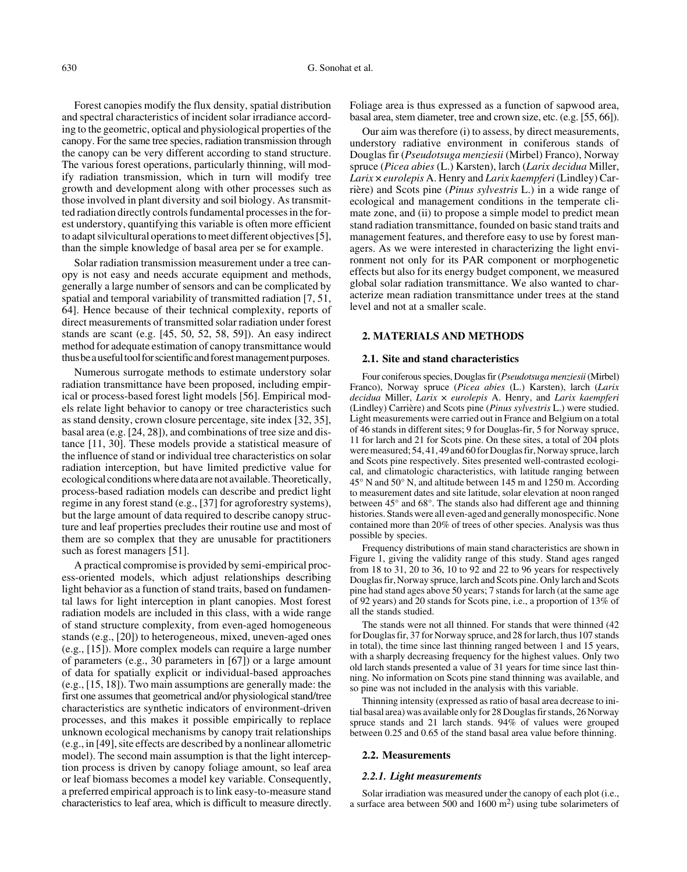Forest canopies modify the flux density, spatial distribution and spectral characteristics of incident solar irradiance according to the geometric, optical and physiological properties of the canopy. For the same tree species, radiation transmission through the canopy can be very different according to stand structure. The various forest operations, particularly thinning, will modify radiation transmission, which in turn will modify tree growth and development along with other processes such as those involved in plant diversity and soil biology. As transmitted radiation directly controls fundamental processes in the forest understory, quantifying this variable is often more efficient to adapt silvicultural operations to meet different objectives [5], than the simple knowledge of basal area per se for example.

Solar radiation transmission measurement under a tree canopy is not easy and needs accurate equipment and methods, generally a large number of sensors and can be complicated by spatial and temporal variability of transmitted radiation [7, 51, 64]. Hence because of their technical complexity, reports of direct measurements of transmitted solar radiation under forest stands are scant (e.g. [45, 50, 52, 58, 59]). An easy indirect method for adequate estimation of canopy transmittance would thus be a useful tool for scientific and forest management purposes.

Numerous surrogate methods to estimate understory solar radiation transmittance have been proposed, including empirical or process-based forest light models [56]. Empirical models relate light behavior to canopy or tree characteristics such as stand density, crown closure percentage, site index [32, 35], basal area (e.g. [24, 28]), and combinations of tree size and distance [11, 30]. These models provide a statistical measure of the influence of stand or individual tree characteristics on solar radiation interception, but have limited predictive value for ecological conditions where data are not available. Theoretically, process-based radiation models can describe and predict light regime in any forest stand (e.g., [37] for agroforestry systems), but the large amount of data required to describe canopy structure and leaf properties precludes their routine use and most of them are so complex that they are unusable for practitioners such as forest managers [51].

A practical compromise is provided by semi-empirical process-oriented models, which adjust relationships describing light behavior as a function of stand traits, based on fundamental laws for light interception in plant canopies. Most forest radiation models are included in this class, with a wide range of stand structure complexity, from even-aged homogeneous stands (e.g., [20]) to heterogeneous, mixed, uneven-aged ones (e.g., [15]). More complex models can require a large number of parameters (e.g., 30 parameters in [67]) or a large amount of data for spatially explicit or individual-based approaches (e.g., [15, 18]). Two main assumptions are generally made: the first one assumes that geometrical and/or physiological stand/tree characteristics are synthetic indicators of environment-driven processes, and this makes it possible empirically to replace unknown ecological mechanisms by canopy trait relationships (e.g., in [49], site effects are described by a nonlinear allometric model). The second main assumption is that the light interception process is driven by canopy foliage amount, so leaf area or leaf biomass becomes a model key variable. Consequently, a preferred empirical approach is to link easy-to-measure stand characteristics to leaf area, which is difficult to measure directly. Foliage area is thus expressed as a function of sapwood area, basal area, stem diameter, tree and crown size, etc. (e.g. [55, 66]).

Our aim was therefore (i) to assess, by direct measurements, understory radiative environment in coniferous stands of Douglas fir (*Pseudotsuga menziesii* (Mirbel) Franco), Norway spruce (*Picea abies* (L.) Karsten), larch (*Larix decidua* Miller, *Larix* × *eurolepis* A. Henry and *Larix kaempferi* (Lindley) Carrière) and Scots pine (*Pinus sylvestris* L.) in a wide range of ecological and management conditions in the temperate climate zone, and (ii) to propose a simple model to predict mean stand radiation transmittance, founded on basic stand traits and management features, and therefore easy to use by forest managers. As we were interested in characterizing the light environment not only for its PAR component or morphogenetic effects but also for its energy budget component, we measured global solar radiation transmittance. We also wanted to characterize mean radiation transmittance under trees at the stand level and not at a smaller scale.

# **2. MATERIALS AND METHODS**

#### **2.1. Site and stand characteristics**

Four coniferous species, Douglas fir (*Pseudotsuga menziesii* (Mirbel) Franco), Norway spruce (*Picea abies* (L.) Karsten), larch (*Larix decidua* Miller, *Larix* × *eurolepis* A. Henry, and *Larix kaempferi* (Lindley) Carrière) and Scots pine (*Pinus sylvestris* L.) were studied. Light measurements were carried out in France and Belgium on a total of 46 stands in different sites; 9 for Douglas-fir, 5 for Norway spruce, 11 for larch and 21 for Scots pine. On these sites, a total of 204 plots were measured; 54, 41, 49 and 60 for Douglas fir, Norway spruce, larch and Scots pine respectively. Sites presented well-contrasted ecological, and climatologic characteristics, with latitude ranging between 45° N and 50° N, and altitude between 145 m and 1250 m. According to measurement dates and site latitude, solar elevation at noon ranged between 45° and 68°. The stands also had different age and thinning histories. Stands were all even-aged and generally monospecific. None contained more than 20% of trees of other species. Analysis was thus possible by species.

Frequency distributions of main stand characteristics are shown in Figure 1, giving the validity range of this study. Stand ages ranged from 18 to 31, 20 to 36, 10 to 92 and 22 to 96 years for respectively Douglas fir, Norway spruce, larch and Scots pine. Only larch and Scots pine had stand ages above 50 years; 7 stands for larch (at the same age of 92 years) and 20 stands for Scots pine, i.e., a proportion of 13% of all the stands studied.

The stands were not all thinned. For stands that were thinned (42 for Douglas fir, 37 for Norway spruce, and 28 for larch, thus 107 stands in total), the time since last thinning ranged between 1 and 15 years, with a sharply decreasing frequency for the highest values. Only two old larch stands presented a value of 31 years for time since last thinning. No information on Scots pine stand thinning was available, and so pine was not included in the analysis with this variable.

Thinning intensity (expressed as ratio of basal area decrease to initial basal area) was available only for 28 Douglas fir stands, 26 Norway spruce stands and 21 larch stands. 94% of values were grouped between 0.25 and 0.65 of the stand basal area value before thinning.

#### **2.2. Measurements**

#### *2.2.1. Light measurements*

Solar irradiation was measured under the canopy of each plot (i.e., a surface area between 500 and 1600  $\text{m}^2$ ) using tube solarimeters of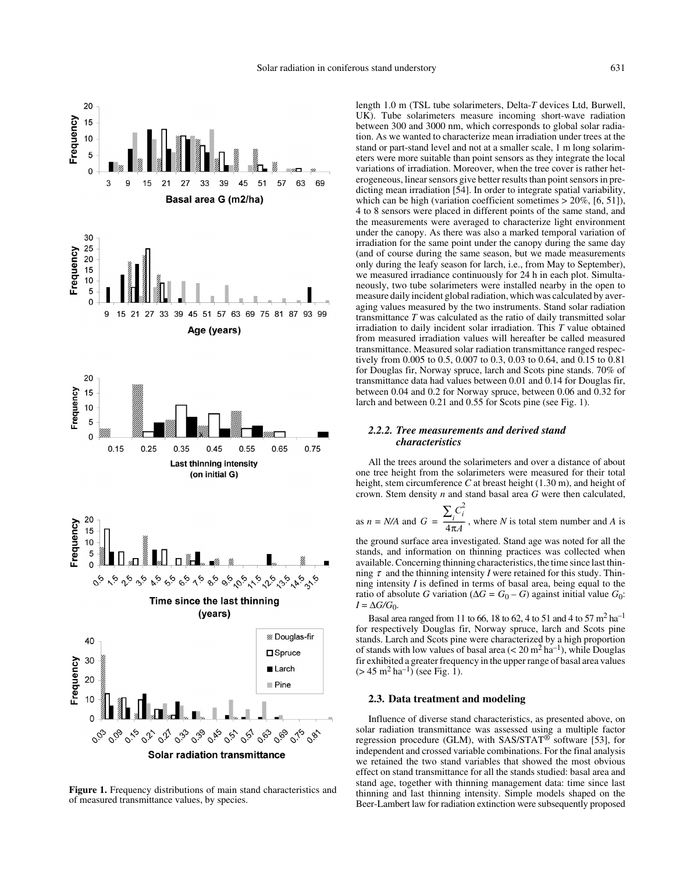

**Figure 1.** Frequency distributions of main stand characteristics and of measured transmittance values, by species.

length 1.0 m (TSL tube solarimeters, Delta-*T* devices Ltd, Burwell, UK). Tube solarimeters measure incoming short-wave radiation between 300 and 3000 nm, which corresponds to global solar radiation. As we wanted to characterize mean irradiation under trees at the stand or part-stand level and not at a smaller scale, 1 m long solarimeters were more suitable than point sensors as they integrate the local variations of irradiation. Moreover, when the tree cover is rather heterogeneous, linear sensors give better results than point sensors in predicting mean irradiation [54]. In order to integrate spatial variability, which can be high (variation coefficient sometimes  $> 20\%$ , [6, 51]), 4 to 8 sensors were placed in different points of the same stand, and the measurements were averaged to characterize light environment under the canopy. As there was also a marked temporal variation of irradiation for the same point under the canopy during the same day (and of course during the same season, but we made measurements only during the leafy season for larch, i.e., from May to September), we measured irradiance continuously for 24 h in each plot. Simultaneously, two tube solarimeters were installed nearby in the open to measure daily incident global radiation, which was calculated by averaging values measured by the two instruments. Stand solar radiation transmittance *T* was calculated as the ratio of daily transmitted solar irradiation to daily incident solar irradiation. This *T* value obtained from measured irradiation values will hereafter be called measured transmittance. Measured solar radiation transmittance ranged respectively from 0.005 to 0.5, 0.007 to 0.3, 0.03 to 0.64, and 0.15 to 0.81 for Douglas fir, Norway spruce, larch and Scots pine stands. 70% of transmittance data had values between 0.01 and 0.14 for Douglas fir, between 0.04 and 0.2 for Norway spruce, between 0.06 and 0.32 for larch and between 0.21 and 0.55 for Scots pine (see Fig. 1).

# *2.2.2. Tree measurements and derived stand characteristics*

All the trees around the solarimeters and over a distance of about one tree height from the solarimeters were measured for their total height, stem circumference *C* at breast height (1.30 m), and height of crown. Stem density *n* and stand basal area *G* were then calculated,

as 
$$
n = N/A
$$
 and  $G = \frac{\sum_{i} C_i^2}{4\pi A}$ , where *N* is total stem number and *A* is

the ground surface area investigated. Stand age was noted for all the stands, and information on thinning practices was collected when available. Concerning thinning characteristics, the time since last thinning  $\tau$  and the thinning intensity *I* were retained for this study. Thinning intensity *I* is defined in terms of basal area, being equal to the ratio of absolute *G* variation ( $\Delta G = G_0 - G$ ) against initial value  $G_0$ :  $I = \Delta G/G_0$ .

Basal area ranged from 11 to 66, 18 to 62, 4 to 51 and 4 to 57 m<sup>2</sup> ha<sup>-1</sup> for respectively Douglas fir, Norway spruce, larch and Scots pine stands. Larch and Scots pine were characterized by a high proportion of stands with low values of basal area  $(< 20 \text{ m}^2 \text{ ha}^{-1})$ , while Douglas fir exhibited a greater frequency in the upper range of basal area values  $(> 45 \text{ m}^2 \text{ ha}^{-1})$  (see Fig. 1).

#### **2.3. Data treatment and modeling**

Influence of diverse stand characteristics, as presented above, on solar radiation transmittance was assessed using a multiple factor regression procedure (GLM), with SAS/STAT® software [53], for independent and crossed variable combinations. For the final analysis we retained the two stand variables that showed the most obvious effect on stand transmittance for all the stands studied: basal area and stand age, together with thinning management data: time since last thinning and last thinning intensity. Simple models shaped on the Beer-Lambert law for radiation extinction were subsequently proposed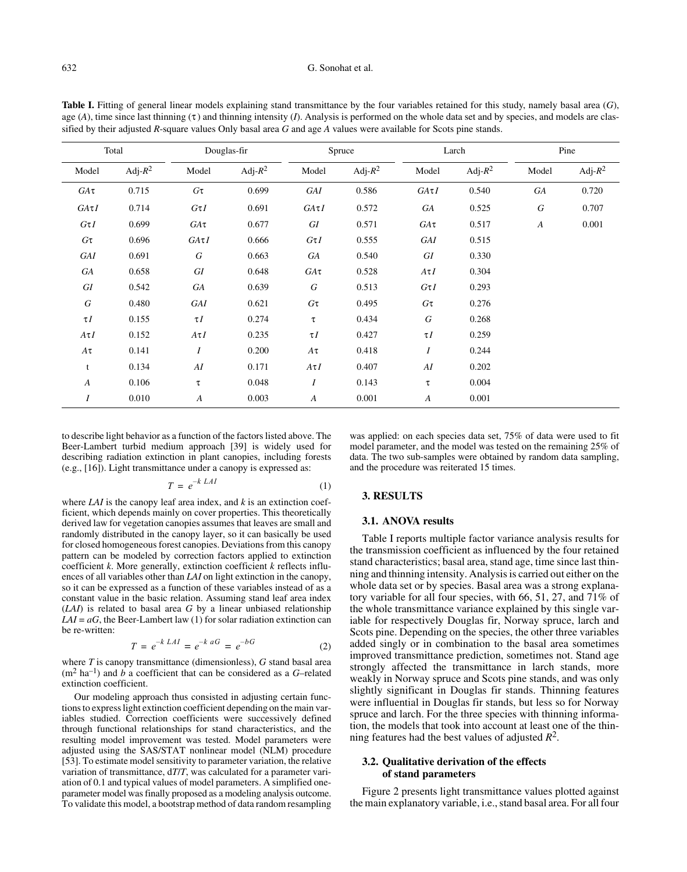#### 632 G. Sonohat et al.

| Total            |            | Douglas-fir      |            | Spruce           |            | Larch            |            | Pine             |            |  |
|------------------|------------|------------------|------------|------------------|------------|------------------|------------|------------------|------------|--|
| Model            | Adj- $R^2$ | Model            | Adj- $R^2$ | Model            | Adj- $R^2$ | Model            | Adj- $R^2$ | Model            | Adj- $R^2$ |  |
| $GA\tau$         | 0.715      | $G\tau$          | 0.699      | GAI              | 0.586      | $GA\tau I$       | 0.540      | GA               | 0.720      |  |
| $GA\tau I$       | 0.714      | $G\tau I$        | 0.691      | $GA\tau I$       | 0.572      | GA               | 0.525      | $\cal G$         | 0.707      |  |
| $G\tau I$        | 0.699      | $GA\tau$         | 0.677      | GI               | 0.571      | $GA\tau$         | 0.517      | $\boldsymbol{A}$ | 0.001      |  |
| $G\tau$          | 0.696      | $GA\tau I$       | 0.666      | $G\tau I$        | 0.555      | GAI              | 0.515      |                  |            |  |
| GAI              | 0.691      | G                | 0.663      | ${\it GA}$       | 0.540      | ${\cal G}I$      | 0.330      |                  |            |  |
| GA               | 0.658      | GI               | 0.648      | $GA\tau$         | 0.528      | $A\tau I$        | 0.304      |                  |            |  |
| ${\it GI}$       | 0.542      | GA               | 0.639      | $\cal G$         | 0.513      | $G\tau I$        | 0.293      |                  |            |  |
| $\cal G$         | 0.480      | <b>GAI</b>       | 0.621      | $G\tau$          | 0.495      | $G\tau$          | 0.276      |                  |            |  |
| $\tau I$         | 0.155      | $\tau I$         | 0.274      | τ                | 0.434      | $\cal G$         | 0.268      |                  |            |  |
| $A\tau I$        | 0.152      | $A\tau I$        | 0.235      | $\tau I$         | 0.427      | $\tau I$         | 0.259      |                  |            |  |
| $A\tau$          | 0.141      | $\boldsymbol{I}$ | 0.200      | $A\tau$          | 0.418      | $\boldsymbol{I}$ | 0.244      |                  |            |  |
| t                | 0.134      | AI               | 0.171      | $A\tau I$        | 0.407      | AI               | 0.202      |                  |            |  |
| $\boldsymbol{A}$ | 0.106      | τ                | 0.048      | $\boldsymbol{I}$ | 0.143      | τ                | 0.004      |                  |            |  |
| $\boldsymbol{I}$ | 0.010      | $\boldsymbol{A}$ | 0.003      | $\boldsymbol{A}$ | 0.001      | $\boldsymbol{A}$ | 0.001      |                  |            |  |

Table I. Fitting of general linear models explaining stand transmittance by the four variables retained for this study, namely basal area (G), age  $(A)$ , time since last thinning  $(\tau)$  and thinning intensity  $(I)$ . Analysis is performed on the whole data set and by species, and models are classified by their adjusted *R*-square values Only basal area *G* and age *A* values were available for Scots pine stands.

to describe light behavior as a function of the factors listed above. The Beer-Lambert turbid medium approach [39] is widely used for describing radiation extinction in plant canopies, including forests (e.g., [16]). Light transmittance under a canopy is expressed as:

$$
T = e^{-k\ LAI} \tag{1}
$$

where *LAI* is the canopy leaf area index, and *k* is an extinction coefficient, which depends mainly on cover properties. This theoretically derived law for vegetation canopies assumes that leaves are small and randomly distributed in the canopy layer, so it can basically be used for closed homogeneous forest canopies. Deviations from this canopy pattern can be modeled by correction factors applied to extinction coefficient *k*. More generally, extinction coefficient *k* reflects influences of all variables other than *LAI* on light extinction in the canopy, so it can be expressed as a function of these variables instead of as a constant value in the basic relation. Assuming stand leaf area index (*LAI*) is related to basal area *G* by a linear unbiased relationship  $LAI = aG$ , the Beer-Lambert law (1) for solar radiation extinction can be re-written:

$$
T = e^{-k\ LAI} = e^{-k\ aG} = e^{-bG} \tag{2}
$$

where *T* is canopy transmittance (dimensionless), *G* stand basal area  $(m<sup>2</sup> h a<sup>-1</sup>)$  and *b* a coefficient that can be considered as a *G*–related extinction coefficient.

Our modeling approach thus consisted in adjusting certain functions to express light extinction coefficient depending on the main variables studied. Correction coefficients were successively defined through functional relationships for stand characteristics, and the resulting model improvement was tested. Model parameters were adjusted using the SAS/STAT nonlinear model (NLM) procedure [53]. To estimate model sensitivity to parameter variation, the relative variation of transmittance, d*T*/*T*, was calculated for a parameter variation of 0.1 and typical values of model parameters. A simplified oneparameter model was finally proposed as a modeling analysis outcome. To validate this model, a bootstrap method of data random resampling

was applied: on each species data set, 75% of data were used to fit model parameter, and the model was tested on the remaining 25% of data. The two sub-samples were obtained by random data sampling, and the procedure was reiterated 15 times.

#### **3. RESULTS**

#### **3.1. ANOVA results**

Table I reports multiple factor variance analysis results for the transmission coefficient as influenced by the four retained stand characteristics; basal area, stand age, time since last thinning and thinning intensity. Analysis is carried out either on the whole data set or by species. Basal area was a strong explanatory variable for all four species, with 66, 51, 27, and 71% of the whole transmittance variance explained by this single variable for respectively Douglas fir, Norway spruce, larch and Scots pine. Depending on the species, the other three variables added singly or in combination to the basal area sometimes improved transmittance prediction, sometimes not. Stand age strongly affected the transmittance in larch stands, more weakly in Norway spruce and Scots pine stands, and was only slightly significant in Douglas fir stands. Thinning features were influential in Douglas fir stands, but less so for Norway spruce and larch. For the three species with thinning information, the models that took into account at least one of the thinning features had the best values of adjusted *R*2.

# **3.2. Qualitative derivation of the effects of stand parameters**

Figure 2 presents light transmittance values plotted against the main explanatory variable, i.e., stand basal area. For all four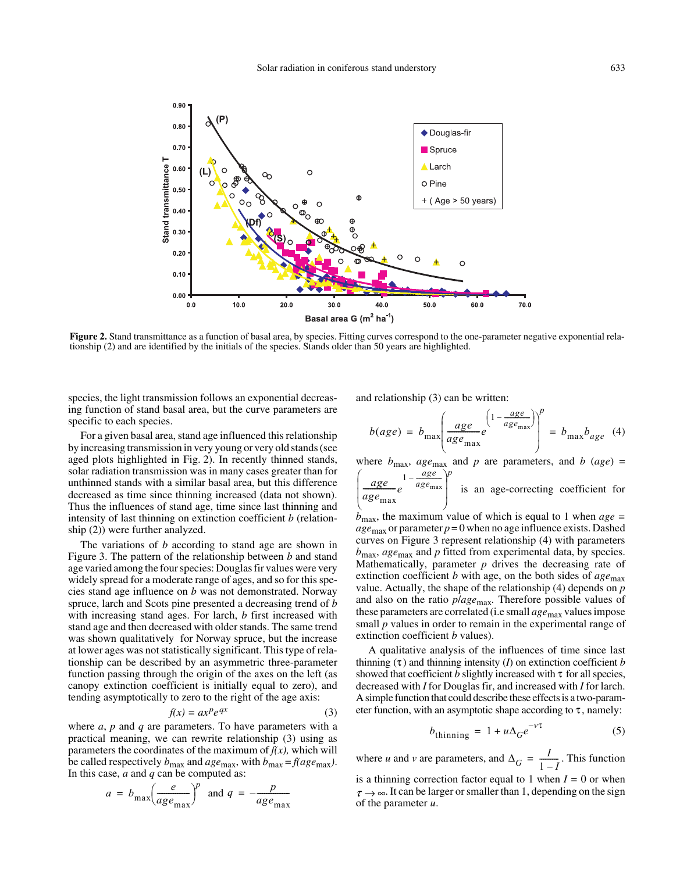

**Figure 2.** Stand transmittance as a function of basal area, by species. Fitting curves correspond to the one-parameter negative exponential relationship (2) and are identified by the initials of the species. Stands older than 50 years are highlighted.

species, the light transmission follows an exponential decreasing function of stand basal area, but the curve parameters are specific to each species.

For a given basal area, stand age influenced this relationship by increasing transmission in very young or very old stands (see aged plots highlighted in Fig. 2). In recently thinned stands, solar radiation transmission was in many cases greater than for unthinned stands with a similar basal area, but this difference decreased as time since thinning increased (data not shown). Thus the influences of stand age, time since last thinning and intensity of last thinning on extinction coefficient *b* (relationship (2)) were further analyzed.

The variations of *b* according to stand age are shown in Figure 3. The pattern of the relationship between *b* and stand age varied among the four species: Douglas fir values were very widely spread for a moderate range of ages, and so for this species stand age influence on *b* was not demonstrated. Norway spruce, larch and Scots pine presented a decreasing trend of *b* with increasing stand ages. For larch, *b* first increased with stand age and then decreased with older stands. The same trend was shown qualitatively for Norway spruce, but the increase at lower ages was not statistically significant. This type of relationship can be described by an asymmetric three-parameter function passing through the origin of the axes on the left (as canopy extinction coefficient is initially equal to zero), and tending asymptotically to zero to the right of the age axis:

$$
f(x) = ax^p e^{qx} \tag{3}
$$

where *a*, *p* and *q* are parameters. To have parameters with a practical meaning, we can rewrite relationship (3) using as parameters the coordinates of the maximum of  $f(x)$ , which will be called respectively  $b_{\text{max}}$  and  $age_{\text{max}}$ , with  $b_{\text{max}} = f(age_{\text{max}})$ . In this case, *a* and *q* can be computed as:

$$
a = b_{\text{max}} \left( \frac{e}{age_{\text{max}}} \right)^p
$$
 and  $q = -\frac{p}{age_{\text{max}}}$ 

and relationship (3) can be written:

$$
b(age) = b_{\text{max}} \left( \frac{age}{age_{\text{max}}} e^{\left(1 - \frac{age}{age_{\text{max}}}\right)} \right)^p = b_{\text{max}} b_{age} \quad (4)
$$

where  $b_{\text{max}}$ ,  $age_{\text{max}}$  and  $p$  are parameters, and  $b$  ( $age$ ) =

$$
\left(\frac{age}{age_{\text{max}}}e^{1-\frac{age}{age_{\text{max}}}}\right)^p
$$
 is an age-correcting coefficient for

*b*max, the maximum value of which is equal to 1 when *age =*  $age_{\text{max}}$  or parameter  $p = 0$  when no age influence exists. Dashed curves on Figure 3 represent relationship (4) with parameters *b*max, *age*max and *p* fitted from experimental data, by species. Mathematically, parameter  $p$  drives the decreasing rate of extinction coefficient *b* with age, on the both sides of  $age_{\text{max}}$ value. Actually, the shape of the relationship (4) depends on *p* and also on the ratio *p*/*age*max*.* Therefore possible values of these parameters are correlated (i.e small *age*max values impose small *p* values in order to remain in the experimental range of extinction coefficient *b* values).

A qualitative analysis of the influences of time since last thinning  $(\tau)$  and thinning intensity (*I*) on extinction coefficient *b* showed that coefficient  $b$  slightly increased with  $\tau$  for all species, decreased with *I* for Douglas fir, and increased with *I* for larch. A simple function that could describe these effects is a two-parameter function, with an asymptotic shape according to  $\tau$ , namely:

$$
b_{\text{thinning}} = 1 + u\Delta_G e^{-v\tau} \tag{5}
$$

where *u* and *v* are parameters, and  $\Delta_G = \frac{I}{1 - I}$ . This function is a thinning correction factor equal to 1 when  $I = 0$  or when  $\tau \rightarrow \infty$ . It can be larger or smaller than 1, depending on the sign of the parameter *u*.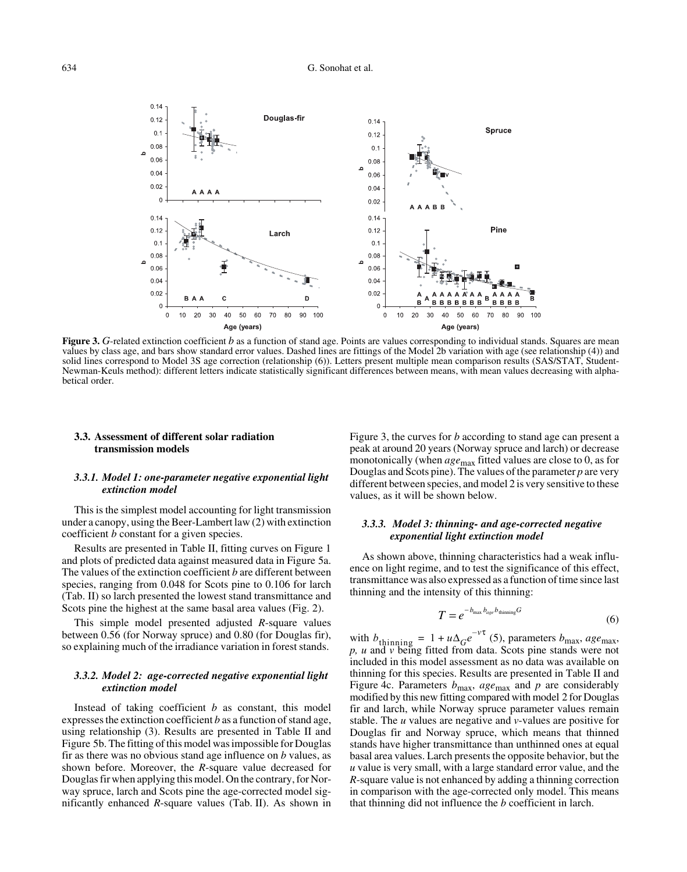

**Figure 3.** G-related extinction coefficient *b* as a function of stand age. Points are values corresponding to individual stands. Squares are mean values by class age, and bars show standard error values. Dashed lines are fittings of the Model 2b variation with age (see relationship (4)) and solid lines correspond to Model 3S age correction (relationship (6)). Letters present multiple mean comparison results (SAS/STAT, Student-Newman-Keuls method): different letters indicate statistically significant differences between means, with mean values decreasing with alphabetical order.

# **3.3. Assessment of different solar radiation transmission models**

# *3.3.1. Model 1: one-parameter negative exponential light extinction model*

This is the simplest model accounting for light transmission under a canopy, using the Beer-Lambert law (2) with extinction coefficient *b* constant for a given species.

Results are presented in Table II, fitting curves on Figure 1 and plots of predicted data against measured data in Figure 5a. The values of the extinction coefficient *b* are different between species, ranging from 0.048 for Scots pine to 0.106 for larch (Tab. II) so larch presented the lowest stand transmittance and Scots pine the highest at the same basal area values (Fig. 2).

This simple model presented adjusted *R*-square values between 0.56 (for Norway spruce) and 0.80 (for Douglas fir), so explaining much of the irradiance variation in forest stands.

# *3.3.2. Model 2: age-corrected negative exponential light extinction model*

Instead of taking coefficient *b* as constant, this model expresses the extinction coefficient *b* as a function of stand age, using relationship (3). Results are presented in Table II and Figure 5b. The fitting of this model was impossible for Douglas fir as there was no obvious stand age influence on *b* values, as shown before. Moreover, the *R*-square value decreased for Douglas fir when applying this model. On the contrary, for Norway spruce, larch and Scots pine the age-corrected model significantly enhanced *R*-square values (Tab. II). As shown in Figure 3, the curves for *b* according to stand age can present a peak at around 20 years (Norway spruce and larch) or decrease monotonically (when *age*max fitted values are close to 0, as for Douglas and Scots pine). The values of the parameter *p* are very different between species, and model 2 is very sensitive to these values, as it will be shown below.

# *3.3.3. Model 3: thinning- and age-corrected negative exponential light extinction model*

As shown above, thinning characteristics had a weak influence on light regime, and to test the significance of this effect, transmittance was also expressed as a function of time since last thinning and the intensity of this thinning:

$$
T = e^{-b_{\text{max}} b_{\text{age}} b_{\text{thinning}} G} \tag{6}
$$

with  $b_{\text{thinning}} = 1 + u\Delta_0 e^{-\gamma t}$  (5), parameters  $b_{\text{max}}$ , *age*<sub>max</sub>, *p, u* and *v* being fitted from data. Scots pine stands were not included in this model assessment as no data was available on thinning for this species. Results are presented in Table II and Figure 4c. Parameters  $b_{\text{max}}$ ,  $age_{\text{max}}$  and  $p$  are considerably modified by this new fitting compared with model 2 for Douglas fir and larch, while Norway spruce parameter values remain stable. The *u* values are negative and *v*-values are positive for Douglas fir and Norway spruce, which means that thinned stands have higher transmittance than unthinned ones at equal basal area values. Larch presents the opposite behavior, but the *u* value is very small, with a large standard error value, and the *R*-square value is not enhanced by adding a thinning correction in comparison with the age-corrected only model. This means that thinning did not influence the *b* coefficient in larch.  $b_{\text{thinning}} = 1 + u\Delta_G e^{-v\tau}$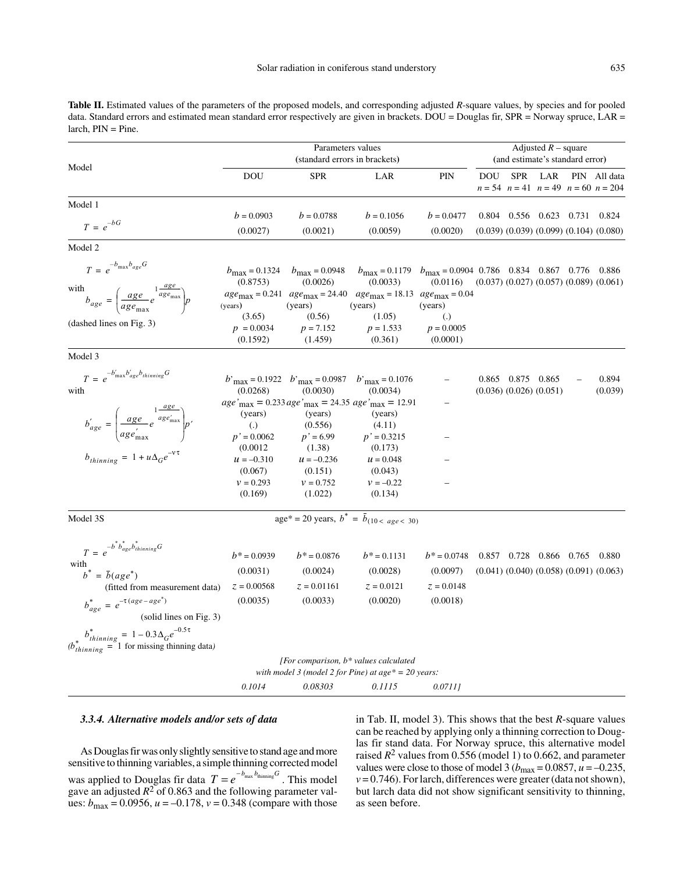Table II. Estimated values of the parameters of the proposed models, and corresponding adjusted *R*-square values, by species and for pooled data. Standard errors and estimated mean standard error respectively are given in brackets. DOU = Douglas fir, SPR = Norway spruce, LAR = larch, PIN = Pine.

|                                                                                                                                                                                               | Parameters values<br>(standard errors in brackets)                                     |                                                                                              |                                                                                                                                                                                                                                                                              |                                                                      | Adjusted $R$ – square<br>(and estimate's standard error) |                                                    |     |  |                                                               |
|-----------------------------------------------------------------------------------------------------------------------------------------------------------------------------------------------|----------------------------------------------------------------------------------------|----------------------------------------------------------------------------------------------|------------------------------------------------------------------------------------------------------------------------------------------------------------------------------------------------------------------------------------------------------------------------------|----------------------------------------------------------------------|----------------------------------------------------------|----------------------------------------------------|-----|--|---------------------------------------------------------------|
| Model                                                                                                                                                                                         | <b>DOU</b>                                                                             | <b>SPR</b>                                                                                   | LAR                                                                                                                                                                                                                                                                          | PIN                                                                  | <b>DOU</b>                                               | <b>SPR</b>                                         | LAR |  | PIN All data<br>$n = 54$ $n = 41$ $n = 49$ $n = 60$ $n = 204$ |
| Model 1                                                                                                                                                                                       |                                                                                        |                                                                                              |                                                                                                                                                                                                                                                                              |                                                                      |                                                          |                                                    |     |  |                                                               |
| $T = e^{-bG}$                                                                                                                                                                                 | $b = 0.0903$<br>(0.0027)                                                               | $b = 0.0788$<br>(0.0021)                                                                     | $b = 0.1056$<br>(0.0059)                                                                                                                                                                                                                                                     | $b = 0.0477$<br>(0.0020)                                             |                                                          | 0.804 0.556 0.623 0.731 0.824                      |     |  | $(0.039)$ $(0.039)$ $(0.099)$ $(0.104)$ $(0.080)$             |
| Model 2                                                                                                                                                                                       |                                                                                        |                                                                                              |                                                                                                                                                                                                                                                                              |                                                                      |                                                          |                                                    |     |  |                                                               |
| $T = e^{-b_{\text{max}}b_{age}G}$<br>$b_{age} = \left(\frac{age}{age_{\text{max}}}e^{1\frac{age}{age_{\text{max}}}}\right)p$<br>with<br>(dashed lines on Fig. 3)                              | $b_{\text{max}} = 0.1324$<br>(0.8753)<br>(years)<br>(3.65)<br>$p = 0.0034$<br>(0.1592) | $b_{\text{max}} = 0.0948$<br>(0.0026)<br>(years)<br>(0.56)<br>$p = 7.152$<br>(1.459)         | $b_{\text{max}} = 0.1179$ $b_{\text{max}} = 0.0904$ 0.786 0.834 0.867 0.776 0.886<br>(0.0033)<br>$age_{\text{max}} = 0.241 \text{ age}_{\text{max}} = 24.40 \text{ age}_{\text{max}} = 18.13 \text{ age}_{\text{max}} = 0.04$<br>(years)<br>(1.05)<br>$p = 1.533$<br>(0.361) | (0.0116)<br>(years)<br>$\left( .\right)$<br>$p = 0.0005$<br>(0.0001) |                                                          |                                                    |     |  | $(0.037)$ $(0.027)$ $(0.057)$ $(0.089)$ $(0.061)$             |
| Model 3                                                                                                                                                                                       |                                                                                        |                                                                                              |                                                                                                                                                                                                                                                                              |                                                                      |                                                          |                                                    |     |  |                                                               |
| $T = e^{-b'_{\text{max}}b'_{\text{age}}b_{\text{thinning}}G}$<br>with                                                                                                                         | (0.0268)                                                                               | $b'_{\text{max}} = 0.1922$ $b'_{\text{max}} = 0.0987$ $b'_{\text{max}} = 0.1076$<br>(0.0030) | (0.0034)                                                                                                                                                                                                                                                                     |                                                                      |                                                          | 0.865 0.875 0.865<br>$(0.036)$ $(0.026)$ $(0.051)$ |     |  | 0.894<br>(0.039)                                              |
| $b_{age}^{'}=\left(\frac{age}{age_{\max}^{'}}e^{\frac{1\frac{age}{age_{\max}^{'}}}{\pi g e_{\max}^{'}}}\right)p'$                                                                             | (years)<br>$\left( .\right)$<br>$p' = 0.0062$                                          | (years)<br>(0.556)<br>$p' = 6.99$                                                            | $age'_{\text{max}} = 0.233 age'_{\text{max}} = 24.35 age'_{\text{max}} = 12.91$<br>(years)<br>(4.11)<br>$p' = 0.3215$                                                                                                                                                        |                                                                      |                                                          |                                                    |     |  |                                                               |
| $b_{thinning} = 1 + u\Delta_G e^{-v\tau}$                                                                                                                                                     | (0.0012)<br>$u = -0.310$<br>(0.067)<br>$v = 0.293$<br>(0.169)                          | (1.38)<br>$u = -0.236$<br>(0.151)<br>$v = 0.752$<br>(1.022)                                  | (0.173)<br>$u = 0.048$<br>(0.043)<br>$v = -0.22$<br>(0.134)                                                                                                                                                                                                                  |                                                                      |                                                          |                                                    |     |  |                                                               |
| Model 3S                                                                                                                                                                                      |                                                                                        |                                                                                              | $\overline{age^* = 20}$ years, $b^* = \overline{b}_{(10 < age < 30)}$                                                                                                                                                                                                        |                                                                      |                                                          |                                                    |     |  |                                                               |
|                                                                                                                                                                                               |                                                                                        |                                                                                              |                                                                                                                                                                                                                                                                              |                                                                      |                                                          |                                                    |     |  |                                                               |
| $T = e^{-b^{\dagger} b^*_{age} b^*_{thinning} G}$<br>with<br>$b^* = \overline{b}(age^*)$<br>(fitted from measurement data)<br>$b_{age}^* = e^{-\tau(age - age^*)}$<br>(solid lines on Fig. 3) | $b^* = 0.0939$<br>(0.0031)<br>$z = 0.00568$<br>(0.0035)                                | $b^*$ = 0.0876<br>(0.0024)<br>$z = 0.01161$<br>(0.0033)                                      | $b^* = 0.1131$<br>(0.0028)<br>$z = 0.0121$<br>(0.0020)                                                                                                                                                                                                                       | $b^* = 0.0748$<br>(0.0097)<br>$z = 0.0148$<br>(0.0018)               |                                                          | 0.857 0.728 0.866 0.765 0.880                      |     |  | $(0.041)$ $(0.040)$ $(0.058)$ $(0.091)$ $(0.063)$             |
| $\label{eq:3} b_{thinning}^* = 1 - 0.3 \Delta_G e^{-0.5\tau}$ $\label{eq:3} (b_{thinning}^* = 1 \text{ for missing thinning data})$                                                           |                                                                                        |                                                                                              |                                                                                                                                                                                                                                                                              |                                                                      |                                                          |                                                    |     |  |                                                               |
|                                                                                                                                                                                               |                                                                                        |                                                                                              | [For comparison, $b^*$ values calculated<br>with model 3 (model 2 for Pine) at $age* = 20 \text{ years}:$                                                                                                                                                                    |                                                                      |                                                          |                                                    |     |  |                                                               |
|                                                                                                                                                                                               | 0.1014                                                                                 | 0.08303                                                                                      | 0.1115                                                                                                                                                                                                                                                                       | 0.07111                                                              |                                                          |                                                    |     |  |                                                               |

#### *3.3.4. Alternative models and/or sets of data*

As Douglas fir was only slightly sensitive to stand age and more sensitive to thinning variables, a simple thinning corrected model was applied to Douglas fir data  $T = e^{-b_{\text{max}} b_{\text{thinning}} G}$ . This model gave an adjusted  $R^2$  of 0.863 and the following parameter values:  $b_{\text{max}} = 0.0956$ ,  $u = -0.178$ ,  $v = 0.348$  (compare with those

in Tab. II, model 3). This shows that the best *R*-square values can be reached by applying only a thinning correction to Douglas fir stand data. For Norway spruce, this alternative model raised  $R^2$  values from 0.556 (model 1) to 0.662, and parameter values were close to those of model 3 ( $b_{\text{max}} = 0.0857$ ,  $u = -0.235$ ,  $v = 0.746$ ). For larch, differences were greater (data not shown), but larch data did not show significant sensitivity to thinning, as seen before.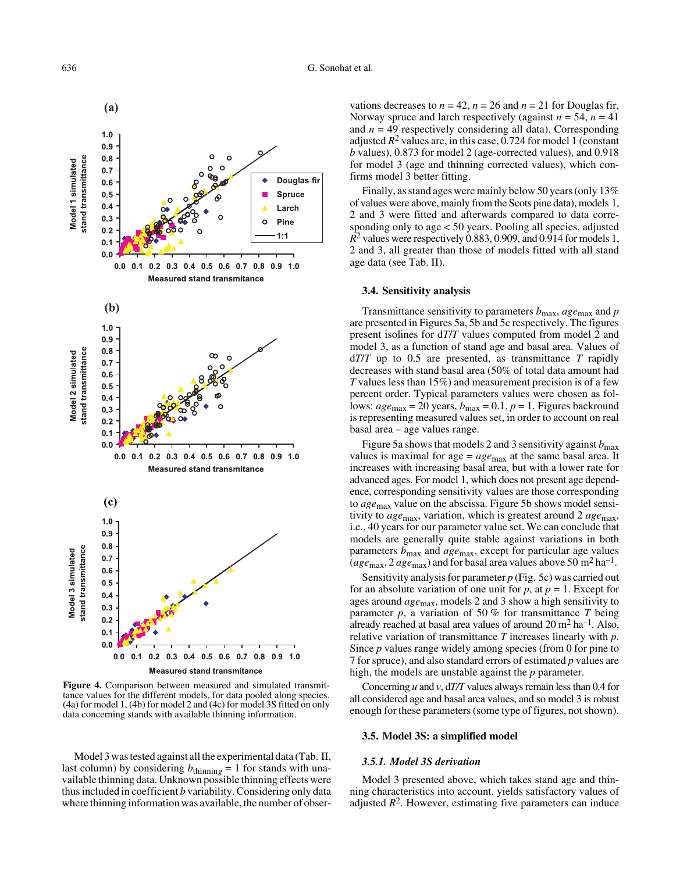

**Figure 4.** Comparison between measured and simulated transmittance values for the different models, for data pooled along species. (4a) for model 1, (4b) for model 2 and (4c) for model 3S fitted on only data concerning stands with available thinning information.

Model 3 was tested against all the experimental data (Tab. II, last column) by considering  $b_{\text{thinning}} = 1$  for stands with unavailable thinning data. Unknown possible thinning effects were thus included in coefficient *b* variability. Considering only data where thinning information was available, the number of obser-

vations decreases to  $n = 42$ ,  $n = 26$  and  $n = 21$  for Douglas fir, Norway spruce and larch respectively (against  $n = 54$ ,  $n = 41$ ) and  $n = 49$  respectively considering all data). Corresponding adjusted  $R^2$  values are, in this case, 0.724 for model 1 (constant *b* values), 0.873 for model 2 (age-corrected values), and 0.918 for model 3 (age and thinning corrected values), which confirms model 3 better fitting.

Finally, as stand ages were mainly below 50 years (only 13% of values were above, mainly from the Scots pine data), models 1, 2 and 3 were fitted and afterwards compared to data corresponding only to age < 50 years. Pooling all species, adjusted  $R^2$  values were respectively 0.883, 0.909, and 0.914 for models 1, 2 and 3, all greater than those of models fitted with all stand age data (see Tab. II).

### **3.4. Sensitivity analysis**

Transmittance sensitivity to parameters  $b_{\text{max}}$ , age<sub>max</sub> and  $p$ are presented in Figures 5a, 5b and 5c respectively. The figures present isolines for d*T*/*T* values computed from model 2 and model 3, as a function of stand age and basal area. Values of d*T*/*T* up to 0.5 are presented, as transmittance *T* rapidly decreases with stand basal area (50% of total data amount had *T* values less than 15%) and measurement precision is of a few percent order. Typical parameters values were chosen as follows:  $age_{\text{max}} = 20$  years,  $b_{\text{max}} = 0.1$ ,  $p = 1$ . Figures backround is representing measured values set, in order to account on real basal area – age values range.

Figure 5a shows that models 2 and 3 sensitivity against  $b_{\text{max}}$ values is maximal for age =  $age_{\text{max}}$  at the same basal area. It increases with increasing basal area, but with a lower rate for advanced ages. For model 1, which does not present age dependence, corresponding sensitivity values are those corresponding to *age*max value on the abscissa. Figure 5b shows model sensitivity to *age*max, variation, which is greatest around 2 *age*max, i.e., 40 years for our parameter value set. We can conclude that models are generally quite stable against variations in both parameters *b*max and *age*max, except for particular age values  $(age_{\text{max}}, 2 \text{ age}_{\text{max}})$  and for basal area values above 50 m<sup>2</sup> ha<sup>-1</sup>.

Sensitivity analysis for parameter *p* (Fig. 5c) was carried out for an absolute variation of one unit for  $p$ , at  $p = 1$ . Except for ages around *age*max, models 2 and 3 show a high sensitivity to parameter *p*, a variation of 50 % for transmittance *T* being already reached at basal area values of around  $20 \text{ m}^2 \text{ ha}^{-1}$ . Also, relative variation of transmittance *T* increases linearly with *p*. Since *p* values range widely among species (from 0 for pine to 7 for spruce), and also standard errors of estimated *p* values are high, the models are unstable against the *p* parameter.

Concerning *u* and *v*, d*T/T* values always remain less than 0.4 for all considered age and basal area values, and so model 3 is robust enough for these parameters (some type of figures, not shown).

### **3.5. Model 3S: a simplified model**

#### *3.5.1. Model 3S derivation*

Model 3 presented above, which takes stand age and thinning characteristics into account, yields satisfactory values of adjusted  $R<sup>2</sup>$ . However, estimating five parameters can induce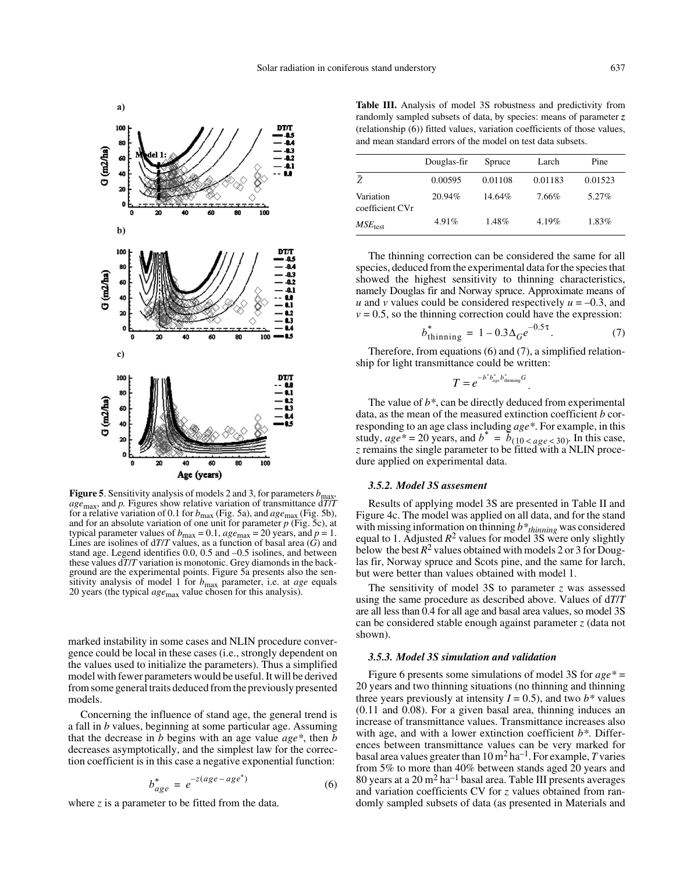

**Figure 5**. Sensitivity analysis of models 2 and 3, for parameters  $b<sub>r</sub>$ *age*max, and *p.* Figures show relative variation of transmittance d*T*/*T* for a relative variation of 0.1 for  $b_{\text{max}}$  (Fig. 5a), and  $age_{\text{max}}$  (Fig. 5b), and for an absolute variation of one unit for parameter *p* (Fig. 5c), at typical parameter values of  $b_{\text{max}} = 0.1$ ,  $age_{\text{max}} = 20$  years, and  $p = 1$ . Lines are isolines of d*T*/*T* values, as a function of basal area (*G*) and stand age. Legend identifies 0.0, 0.5 and –0.5 isolines, and between these values d*T*/*T* variation is monotonic. Grey diamonds in the background are the experimental points. Figure 5a presents also the sensitivity analysis of model 1 for *b*max parameter, i.e. at *age* equals 20 years (the typical *age*max value chosen for this analysis).

marked instability in some cases and NLIN procedure convergence could be local in these cases (i.e., strongly dependent on the values used to initialize the parameters). Thus a simplified model with fewer parameters would be useful. It will be derived from some general traits deduced from the previously presented models.

Concerning the influence of stand age, the general trend is a fall in *b* values, beginning at some particular age. Assuming that the decrease in *b* begins with an age value *age\**, then *b* decreases asymptotically, and the simplest law for the correction coefficient is in this case a negative exponential function:

$$
b_{age}^* = e^{-z(age - age^*)}
$$
 (6)

where *z* is a parameter to be fitted from the data.

**Table III.** Analysis of model 3S robustness and predictivity from randomly sampled subsets of data, by species: means of parameter *z* (relationship (6)) fitted values, variation coefficients of those values, and mean standard errors of the model on test data subsets.

|                              | Douglas-fir | Spruce  | Larch    | Pine    |  |
|------------------------------|-------------|---------|----------|---------|--|
| Ž                            | 0.00595     | 0.01108 | 0.01183  | 0.01523 |  |
| Variation<br>coefficient CVr | 20.94%      | 14.64%  | 7.66%    | 5.27%   |  |
| $MSE_{\text{test}}$          | 4.91%       | 1.48%   | $4.19\%$ | 1.83%   |  |

The thinning correction can be considered the same for all species, deduced from the experimental data for the species that showed the highest sensitivity to thinning characteristics, namely Douglas fir and Norway spruce. Approximate means of *u* and *v* values could be considered respectively  $u = -0.3$ , and  $v = 0.5$ , so the thinning correction could have the expression:

$$
b_{\text{thinning}}^{*} = 1 - 0.3 \Delta_{G} e^{-0.5\tau}.
$$
 (7)

.

Therefore, from equations (6) and (7), a simplified relationship for light transmittance could be written:

$$
T = e^{-b^*b^*_{age}b^*_{\text{thinning}}G}
$$

The value of *b\**, can be directly deduced from experimental data, as the mean of the measured extinction coefficient *b* corresponding to an age class including *age\**. For example, in this study,  $age^* = 20$  years, and  $b^* = \overline{b}_{(10 < age < 30)}$ . In this case, *z* remains the single parameter to be fitted with a NLIN procedure applied on experimental data.

# *3.5.2. Model 3S assesment*

Results of applying model 3S are presented in Table II and Figure 4c. The model was applied on all data, and for the stand with missing information on thinning  $b^*$ <sub>thinning</sub> was considered equal to 1. Adjusted  $R^2$  values for model 3S were only slightly below the best  $R^2$  values obtained with models 2 or 3 for Douglas fir, Norway spruce and Scots pine, and the same for larch, but were better than values obtained with model 1.

The sensitivity of model 3S to parameter *z* was assessed using the same procedure as described above. Values of d*T*/*T* are all less than 0.4 for all age and basal area values, so model 3S can be considered stable enough against parameter *z* (data not shown).

# *3.5.3. Model 3S simulation and validation*

Figure 6 presents some simulations of model 3S for *age\** = 20 years and two thinning situations (no thinning and thinning three years previously at intensity  $I = 0.5$ ), and two  $b^*$  values (0.11 and 0.08). For a given basal area, thinning induces an increase of transmittance values. Transmittance increases also with age, and with a lower extinction coefficient *b\**. Differences between transmittance values can be very marked for basal area values greater than  $10 \text{ m}^2$  ha<sup>-1</sup>. For example, *T* varies from 5% to more than 40% between stands aged 20 years and 80 years at a  $20 \text{ m}^2$  ha<sup>-1</sup> basal area. Table III presents averages and variation coefficients CV for *z* values obtained from randomly sampled subsets of data (as presented in Materials and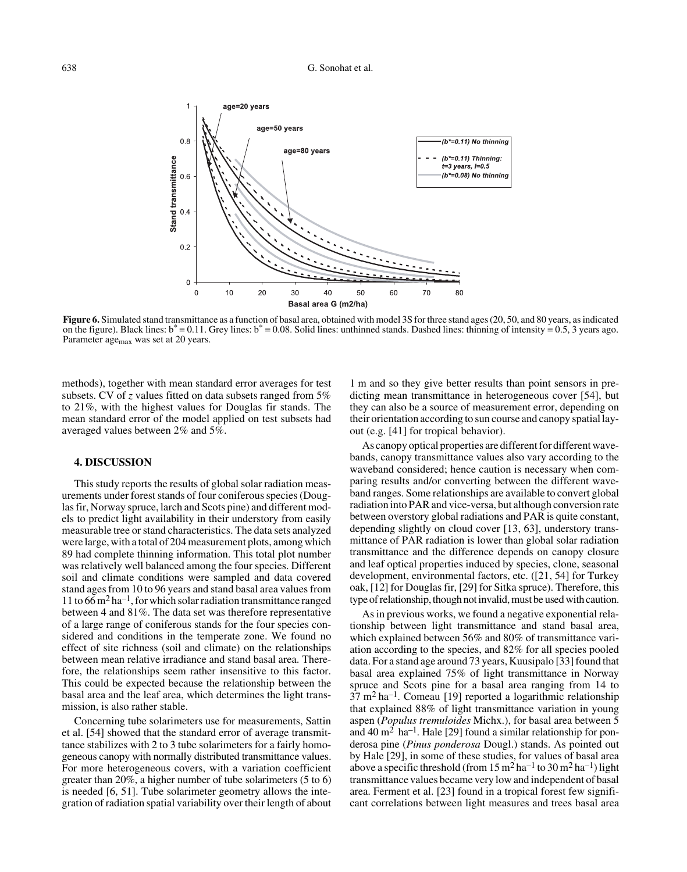

Figure 6. Simulated stand transmittance as a function of basal area, obtained with model 3S for three stand ages (20, 50, and 80 years, as indicated on the figure). Black lines:  $b^* = 0.11$ . Grey lines:  $b^* = 0.08$ . Solid lines: unthinned stands. Dashed lines: thinning of intensity = 0.5, 3 years ago. Parameter age<sub>max</sub> was set at 20 years.

methods), together with mean standard error averages for test subsets. CV of *z* values fitted on data subsets ranged from 5% to 21%, with the highest values for Douglas fir stands. The mean standard error of the model applied on test subsets had averaged values between 2% and 5%.

# **4. DISCUSSION**

This study reports the results of global solar radiation measurements under forest stands of four coniferous species (Douglas fir, Norway spruce, larch and Scots pine) and different models to predict light availability in their understory from easily measurable tree or stand characteristics. The data sets analyzed were large, with a total of 204 measurement plots, among which 89 had complete thinning information. This total plot number was relatively well balanced among the four species. Different soil and climate conditions were sampled and data covered stand ages from 10 to 96 years and stand basal area values from 11 to 66  $\rm m<sup>2</sup>$  ha<sup>-1</sup>, for which solar radiation transmittance ranged between 4 and 81%. The data set was therefore representative of a large range of coniferous stands for the four species considered and conditions in the temperate zone. We found no effect of site richness (soil and climate) on the relationships between mean relative irradiance and stand basal area. Therefore, the relationships seem rather insensitive to this factor. This could be expected because the relationship between the basal area and the leaf area, which determines the light transmission, is also rather stable.

Concerning tube solarimeters use for measurements, Sattin et al. [54] showed that the standard error of average transmittance stabilizes with 2 to 3 tube solarimeters for a fairly homogeneous canopy with normally distributed transmittance values. For more heterogeneous covers, with a variation coefficient greater than 20%, a higher number of tube solarimeters (5 to 6) is needed [6, 51]. Tube solarimeter geometry allows the integration of radiation spatial variability over their length of about

1 m and so they give better results than point sensors in predicting mean transmittance in heterogeneous cover [54], but they can also be a source of measurement error, depending on their orientation according to sun course and canopy spatial layout (e.g. [41] for tropical behavior).

As canopy optical properties are different for different wavebands, canopy transmittance values also vary according to the waveband considered; hence caution is necessary when comparing results and/or converting between the different waveband ranges. Some relationships are available to convert global radiation into PAR and vice-versa, but although conversion rate between overstory global radiations and PAR is quite constant, depending slightly on cloud cover [13, 63], understory transmittance of PAR radiation is lower than global solar radiation transmittance and the difference depends on canopy closure and leaf optical properties induced by species, clone, seasonal development, environmental factors, etc. ([21, 54] for Turkey oak, [12] for Douglas fir, [29] for Sitka spruce). Therefore, this type of relationship, though not invalid, must be used with caution.

As in previous works, we found a negative exponential relationship between light transmittance and stand basal area, which explained between 56% and 80% of transmittance variation according to the species, and 82% for all species pooled data. For a stand age around 73 years, Kuusipalo [33] found that basal area explained 75% of light transmittance in Norway spruce and Scots pine for a basal area ranging from 14 to  $37 \text{ m}^2$  ha<sup>-1</sup>. Comeau [19] reported a logarithmic relationship that explained 88% of light transmittance variation in young aspen (*Populus tremuloides* Michx.), for basal area between 5 and 40 m<sup>2</sup> ha<sup>-1</sup>. Hale [29] found a similar relationship for ponderosa pine (*Pinus ponderosa* Dougl.) stands. As pointed out by Hale [29], in some of these studies, for values of basal area above a specific threshold (from  $15 \text{ m}^2 \text{ ha}^{-1}$  to  $30 \text{ m}^2 \text{ ha}^{-1}$ ) light transmittance values became very low and independent of basal area. Ferment et al. [23] found in a tropical forest few significant correlations between light measures and trees basal area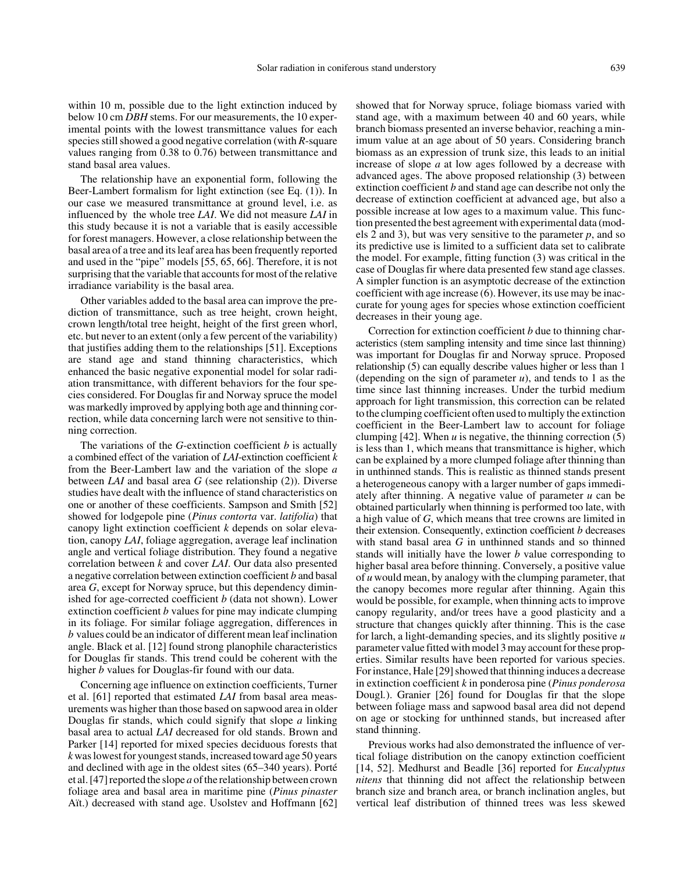within 10 m, possible due to the light extinction induced by below 10 cm *DBH* stems. For our measurements, the 10 experimental points with the lowest transmittance values for each species still showed a good negative correlation (with *R*-square values ranging from 0.38 to 0.76) between transmittance and stand basal area values.

The relationship have an exponential form, following the Beer-Lambert formalism for light extinction (see Eq. (1)). In our case we measured transmittance at ground level, i.e. as influenced by the whole tree *LAI*. We did not measure *LAI* in this study because it is not a variable that is easily accessible for forest managers. However, a close relationship between the basal area of a tree and its leaf area has been frequently reported and used in the "pipe" models [55, 65, 66]. Therefore, it is not surprising that the variable that accounts for most of the relative irradiance variability is the basal area.

Other variables added to the basal area can improve the prediction of transmittance, such as tree height, crown height, crown length/total tree height, height of the first green whorl, etc. but never to an extent (only a few percent of the variability) that justifies adding them to the relationships [51]. Exceptions are stand age and stand thinning characteristics, which enhanced the basic negative exponential model for solar radiation transmittance, with different behaviors for the four species considered. For Douglas fir and Norway spruce the model was markedly improved by applying both age and thinning correction, while data concerning larch were not sensitive to thinning correction.

The variations of the *G*-extinction coefficient *b* is actually a combined effect of the variation of *LAI*-extinction coefficient *k* from the Beer-Lambert law and the variation of the slope *a* between *LAI* and basal area *G* (see relationship (2)). Diverse studies have dealt with the influence of stand characteristics on one or another of these coefficients. Sampson and Smith [52] showed for lodgepole pine (*Pinus contorta* var. *latifolia*) that canopy light extinction coefficient *k* depends on solar elevation, canopy *LAI*, foliage aggregation, average leaf inclination angle and vertical foliage distribution. They found a negative correlation between *k* and cover *LAI*. Our data also presented a negative correlation between extinction coefficient *b* and basal area *G*, except for Norway spruce, but this dependency diminished for age-corrected coefficient *b* (data not shown). Lower extinction coefficient *b* values for pine may indicate clumping in its foliage. For similar foliage aggregation, differences in *b* values could be an indicator of different mean leaf inclination angle. Black et al. [12] found strong planophile characteristics for Douglas fir stands. This trend could be coherent with the higher *b* values for Douglas-fir found with our data.

Concerning age influence on extinction coefficients, Turner et al. [61] reported that estimated *LAI* from basal area measurements was higher than those based on sapwood area in older Douglas fir stands, which could signify that slope *a* linking basal area to actual *LAI* decreased for old stands. Brown and Parker [14] reported for mixed species deciduous forests that *k* was lowest for youngest stands, increased toward age 50 years and declined with age in the oldest sites (65–340 years). Porté et al. [47] reported the slope *a* of the relationship between crown foliage area and basal area in maritime pine (*Pinus pinaster* Aït.) decreased with stand age. Usolstev and Hoffmann [62]

showed that for Norway spruce, foliage biomass varied with stand age, with a maximum between 40 and 60 years, while branch biomass presented an inverse behavior, reaching a minimum value at an age about of 50 years. Considering branch biomass as an expression of trunk size, this leads to an initial increase of slope *a* at low ages followed by a decrease with advanced ages. The above proposed relationship (3) between extinction coefficient *b* and stand age can describe not only the decrease of extinction coefficient at advanced age, but also a possible increase at low ages to a maximum value. This function presented the best agreement with experimental data (models 2 and 3), but was very sensitive to the parameter *p*, and so its predictive use is limited to a sufficient data set to calibrate the model. For example, fitting function (3) was critical in the case of Douglas fir where data presented few stand age classes. A simpler function is an asymptotic decrease of the extinction coefficient with age increase (6). However, its use may be inaccurate for young ages for species whose extinction coefficient decreases in their young age.

Correction for extinction coefficient *b* due to thinning characteristics (stem sampling intensity and time since last thinning) was important for Douglas fir and Norway spruce. Proposed relationship (5) can equally describe values higher or less than 1 (depending on the sign of parameter  $u$ ), and tends to 1 as the time since last thinning increases. Under the turbid medium approach for light transmission, this correction can be related to the clumping coefficient often used to multiply the extinction coefficient in the Beer-Lambert law to account for foliage clumping [42]. When *u* is negative, the thinning correction (5) is less than 1, which means that transmittance is higher, which can be explained by a more clumped foliage after thinning than in unthinned stands. This is realistic as thinned stands present a heterogeneous canopy with a larger number of gaps immediately after thinning. A negative value of parameter *u* can be obtained particularly when thinning is performed too late, with a high value of *G*, which means that tree crowns are limited in their extension. Consequently, extinction coefficient *b* decreases with stand basal area *G* in unthinned stands and so thinned stands will initially have the lower *b* value corresponding to higher basal area before thinning. Conversely, a positive value of *u* would mean, by analogy with the clumping parameter, that the canopy becomes more regular after thinning. Again this would be possible, for example, when thinning acts to improve canopy regularity, and/or trees have a good plasticity and a structure that changes quickly after thinning. This is the case for larch, a light-demanding species, and its slightly positive *u* parameter value fitted with model 3 may account for these properties. Similar results have been reported for various species. For instance, Hale [29] showed that thinning induces a decrease in extinction coefficient *k* in ponderosa pine (*Pinus ponderosa* Dougl*.*). Granier [26] found for Douglas fir that the slope between foliage mass and sapwood basal area did not depend on age or stocking for unthinned stands, but increased after stand thinning.

Previous works had also demonstrated the influence of vertical foliage distribution on the canopy extinction coefficient [14, 52]. Medhurst and Beadle [36] reported for *Eucalyptus nitens* that thinning did not affect the relationship between branch size and branch area, or branch inclination angles, but vertical leaf distribution of thinned trees was less skewed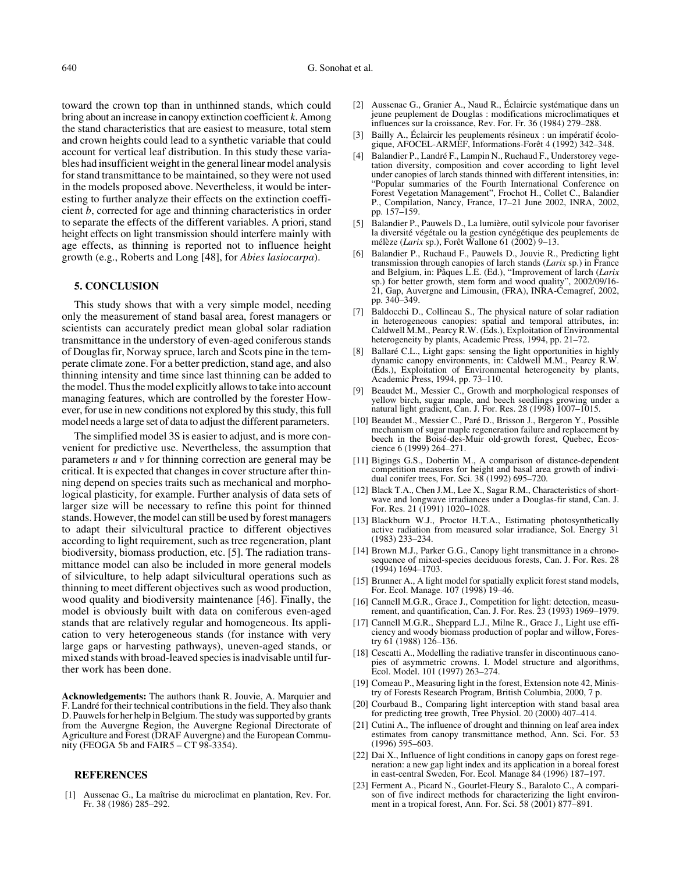toward the crown top than in unthinned stands, which could bring about an increase in canopy extinction coefficient *k*. Among the stand characteristics that are easiest to measure, total stem and crown heights could lead to a synthetic variable that could account for vertical leaf distribution. In this study these variables had insufficient weight in the general linear model analysis for stand transmittance to be maintained, so they were not used in the models proposed above. Nevertheless, it would be interesting to further analyze their effects on the extinction coefficient *b*, corrected for age and thinning characteristics in order to separate the effects of the different variables. A priori, stand height effects on light transmission should interfere mainly with age effects, as thinning is reported not to influence height growth (e.g., Roberts and Long [48], for *Abies lasiocarpa*).

# **5. CONCLUSION**

This study shows that with a very simple model, needing only the measurement of stand basal area, forest managers or scientists can accurately predict mean global solar radiation transmittance in the understory of even-aged coniferous stands of Douglas fir, Norway spruce, larch and Scots pine in the temperate climate zone. For a better prediction, stand age, and also thinning intensity and time since last thinning can be added to the model. Thus the model explicitly allows to take into account managing features, which are controlled by the forester However, for use in new conditions not explored by this study, this full model needs a large set of data to adjust the different parameters.

The simplified model 3S is easier to adjust, and is more convenient for predictive use. Nevertheless, the assumption that parameters *u* and *v* for thinning correction are general may be critical. It is expected that changes in cover structure after thinning depend on species traits such as mechanical and morphological plasticity, for example. Further analysis of data sets of larger size will be necessary to refine this point for thinned stands. However, the model can still be used by forest managers to adapt their silvicultural practice to different objectives according to light requirement, such as tree regeneration, plant biodiversity, biomass production, etc. [5]. The radiation transmittance model can also be included in more general models of silviculture, to help adapt silvicultural operations such as thinning to meet different objectives such as wood production, wood quality and biodiversity maintenance [46]. Finally, the model is obviously built with data on coniferous even-aged stands that are relatively regular and homogeneous. Its application to very heterogeneous stands (for instance with very large gaps or harvesting pathways), uneven-aged stands, or mixed stands with broad-leaved species is inadvisable until further work has been done.

**Acknowledgements:** The authors thank R. Jouvie, A. Marquier and F. Landré for their technical contributions in the field. They also thank D. Pauwels for her help in Belgium. The study was supported by grants from the Auvergne Region, the Auvergne Regional Directorate of Agriculture and Forest (DRAF Auvergne) and the European Community (FEOGA 5b and FAIR5 – CT 98-3354).

#### **REFERENCES**

Aussenac G., La maîtrise du microclimat en plantation, Rev. For. Fr. 38 (1986) 285–292.

- [2] Aussenac G., Granier A., Naud R., Éclaircie systématique dans un jeune peuplement de Douglas : modifications microclimatiques et influences sur la croissance, Rev. For. Fr. 36 (1984) 279–288.
- [3] Bailly A., Éclaircir les peuplements résineux : un impératif écologique, AFOCEL-ARMEF, Informations-Forêt 4 (1992) 342–348.
- [4] Balandier P., Landré F., Lampin N., Ruchaud F., Understorey vegetation diversity, composition and cover according to light level under canopies of larch stands thinned with different intensities, in: "Popular summaries of the Fourth International Conference on Forest Vegetation Management", Frochot H., Collet C., Balandier P., Compilation, Nancy, France, 17–21 June 2002, INRA, 2002, pp. 157–159.
- [5] Balandier P., Pauwels D., La lumière, outil sylvicole pour favoriser la diversité végétale ou la gestion cynégétique des peuplements de mélèze (*Larix* sp.), Forêt Wallone 61 (2002) 9–13.
- [6] Balandier P., Ruchaud F., Pauwels D., Jouvie R., Predicting light transmission through canopies of larch stands (*Larix* sp.) in France and Belgium, in: Pâques L.E. (Ed.), "Improvement of larch (*Larix* sp.) for better growth, stem form and wood quality", 2002/09/16- 21, Gap, Auvergne and Limousin, (FRA), INRA-Cemagref, 2002, pp. 340–349.
- [7] Baldocchi D., Collineau S., The physical nature of solar radiation in heterogeneous canopies: spatial and temporal attributes, in: Caldwell M.M., Pearcy R.W. (Eds.), Exploitation of Environmental heterogeneity by plants, Academic Press, 1994, pp. 21–72.
- [8] Ballaré C.L., Light gaps: sensing the light opportunities in highly dynamic canopy environments, in: Caldwell M.M., Pearcy R.W. (Eds.), Exploitation of Environmental heterogeneity by plants, Academic Press, 1994, pp. 73–110.
- [9] Beaudet M., Messier C., Growth and morphological responses of yellow birch, sugar maple, and beech seedlings growing under a natural light gradient, Can. J. For. Res. 28 (1998) 1007–1015.
- [10] Beaudet M., Messier C., Paré D., Brisson J., Bergeron Y., Possible mechanism of sugar maple regeneration failure and replacement by beech in the Boisé-des-Muir old-growth forest, Quebec, Ecoscience 6 (1999) 264–271.
- [11] Bigings G.S., Dobertin M., A comparison of distance-dependent competition measures for height and basal area growth of individual conifer trees, For. Sci. 38 (1992) 695–720.
- [12] Black T.A., Chen J.M., Lee X., Sagar R.M., Characteristics of shortwave and longwave irradiances under a Douglas-fir stand, Can. J. For. Res. 21 (1991) 1020–1028.
- [13] Blackburn W.J., Proctor H.T.A., Estimating photosynthetically active radiation from measured solar irradiance, Sol. Energy 31 (1983) 233–234.
- [14] Brown M.J., Parker G.G., Canopy light transmittance in a chronosequence of mixed-species deciduous forests, Can. J. For. Res. 28 (1994) 1694–1703.
- [15] Brunner A., A light model for spatially explicit forest stand models, For. Ecol. Manage. 107 (1998) 19–46.
- [16] Cannell M.G.R., Grace J., Competition for light: detection, measurement, and quantification, Can. J. For. Res. 23 (1993) 1969–1979.
- [17] Cannell M.G.R., Sheppard L.J., Milne R., Grace J., Light use efficiency and woody biomass production of poplar and willow, Forestry 61 (1988) 126–136.
- [18] Cescatti A., Modelling the radiative transfer in discontinuous canopies of asymmetric crowns. I. Model structure and algorithms, Ecol. Model. 101 (1997) 263–274.
- [19] Comeau P., Measuring light in the forest, Extension note 42, Ministry of Forests Research Program, British Columbia, 2000, 7 p.
- [20] Courbaud B., Comparing light interception with stand basal area for predicting tree growth, Tree Physiol. 20 (2000) 407–414.
- [21] Cutini A., The influence of drought and thinning on leaf area index estimates from canopy transmittance method, Ann. Sci. For. 53 (1996) 595–603.
- [22] Dai X., Influence of light conditions in canopy gaps on forest regeneration: a new gap light index and its application in a boreal forest in east-central Sweden, For. Ecol. Manage 84 (1996) 187–197.
- [23] Ferment A., Picard N., Gourlet-Fleury S., Baraloto C., A comparison of five indirect methods for characterizing the light environment in a tropical forest, Ann. For. Sci. 58 (2001) 877–891.